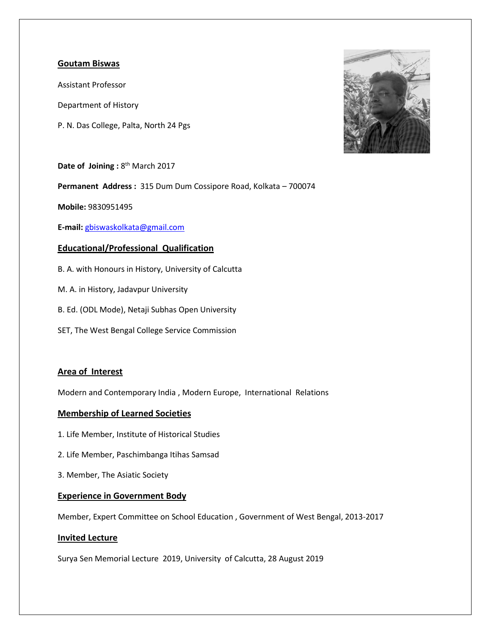## **Goutam Biswas**

Assistant Professor

Department of History

P. N. Das College, Palta, North 24 Pgs



Date of Joining: 8<sup>th</sup> March 2017

**Permanent Address :** 315 Dum Dum Cossipore Road, Kolkata – 700074

**Mobile:** 9830951495

**E-mail:** [gbiswaskolkata@gmail.com](mailto:gbiswaskolkata@gmail.com)

# **Educational/Professional Qualification**

- B. A. with Honours in History, University of Calcutta
- M. A. in History, Jadavpur University
- B. Ed. (ODL Mode), Netaji Subhas Open University
- SET, The West Bengal College Service Commission

### **Area of Interest**

Modern and Contemporary India , Modern Europe, International Relations

### **Membership of Learned Societies**

- 1. Life Member, Institute of Historical Studies
- 2. Life Member, Paschimbanga Itihas Samsad
- 3. Member, The Asiatic Society

### **Experience in Government Body**

Member, Expert Committee on School Education , Government of West Bengal, 2013-2017

### **Invited Lecture**

Surya Sen Memorial Lecture 2019, University of Calcutta, 28 August 2019